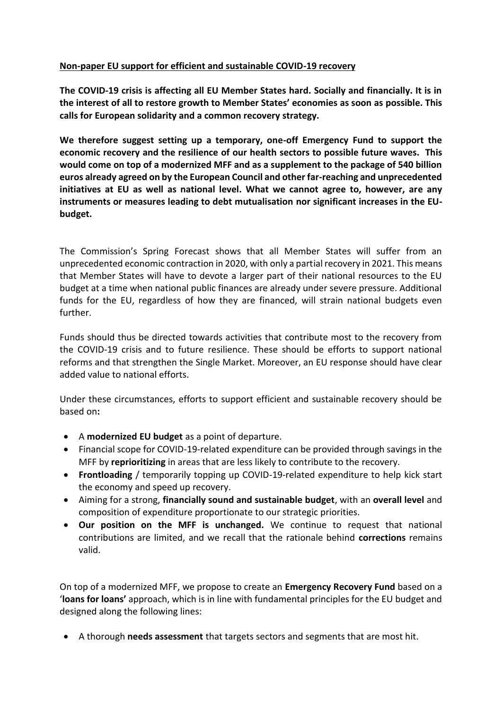## **Non-paper EU support for efficient and sustainable COVID-19 recovery**

**The COVID-19 crisis is affecting all EU Member States hard. Socially and financially. It is in the interest of all to restore growth to Member States' economies as soon as possible. This calls for European solidarity and a common recovery strategy.** 

**We therefore suggest setting up a temporary, one-off Emergency Fund to support the economic recovery and the resilience of our health sectors to possible future waves. This would come on top of a modernized MFF and as a supplement to the package of 540 billion euros already agreed on by the European Council and other far-reaching and unprecedented initiatives at EU as well as national level. What we cannot agree to, however, are any instruments or measures leading to debt mutualisation nor significant increases in the EUbudget.**

The Commission's Spring Forecast shows that all Member States will suffer from an unprecedented economic contraction in 2020, with only a partial recovery in 2021. This means that Member States will have to devote a larger part of their national resources to the EU budget at a time when national public finances are already under severe pressure. Additional funds for the EU, regardless of how they are financed, will strain national budgets even further.

Funds should thus be directed towards activities that contribute most to the recovery from the COVID-19 crisis and to future resilience. These should be efforts to support national reforms and that strengthen the Single Market. Moreover, an EU response should have clear added value to national efforts.

Under these circumstances, efforts to support efficient and sustainable recovery should be based on**:**

- A **modernized EU budget** as a point of departure.
- Financial scope for COVID-19-related expenditure can be provided through savings in the MFF by **reprioritizing** in areas that are less likely to contribute to the recovery.
- **Frontloading** / temporarily topping up COVID-19-related expenditure to help kick start the economy and speed up recovery.
- Aiming for a strong, **financially sound and sustainable budget**, with an **overall level** and composition of expenditure proportionate to our strategic priorities.
- **Our position on the MFF is unchanged.** We continue to request that national contributions are limited, and we recall that the rationale behind **corrections** remains valid.

On top of a modernized MFF, we propose to create an **Emergency Recovery Fund** based on a '**loans for loans'** approach, which is in line with fundamental principles for the EU budget and designed along the following lines:

A thorough **needs assessment** that targets sectors and segments that are most hit.